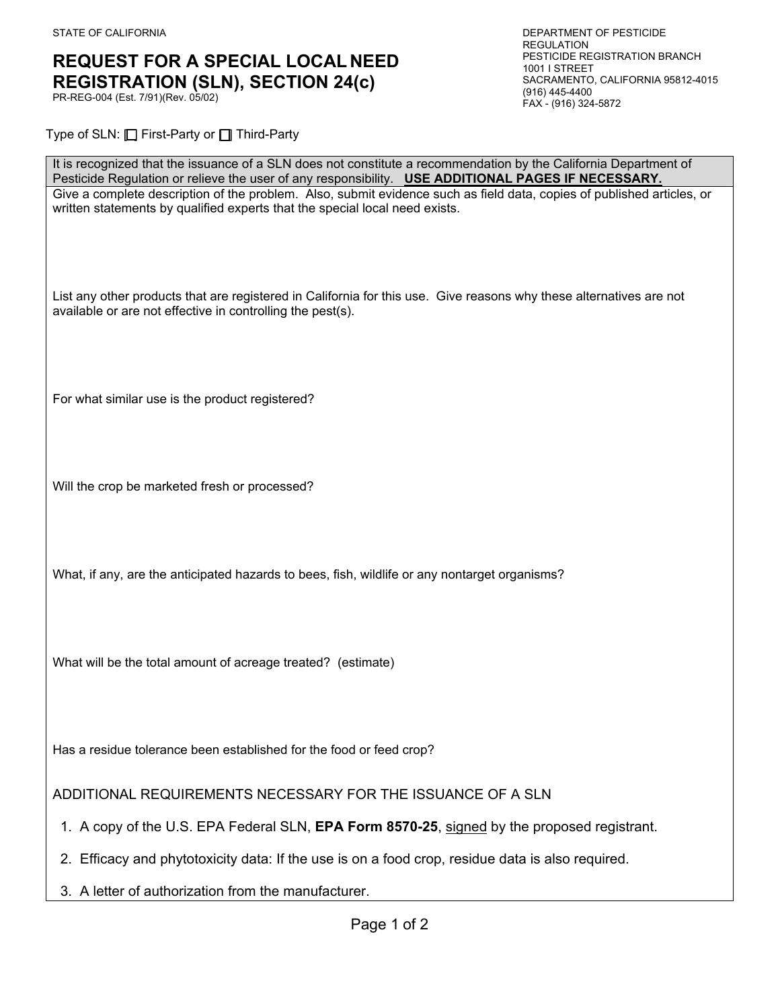## **REQUEST FOR A SPECIAL LOCAL NEED**<br>**REGISTRATION (SI N) SFCTION 24(c)** SACRAMENTO, CALIFORNIA 95812-4015 **REGISTRATION (SLN), SECTION 24(c)** SACRAMENTO PR-REG-004 (Est. 7/91)(Rev. 05/02)<br>FAX - (916) 324-5872

Type of SLN: □ First-Party or □ Third-Party

| It is recognized that the issuance of a SLN does not constitute a recommendation by the California Department of<br>Pesticide Regulation or relieve the user of any responsibility. USE ADDITIONAL PAGES IF NECESSARY. |
|------------------------------------------------------------------------------------------------------------------------------------------------------------------------------------------------------------------------|
| Give a complete description of the problem. Also, submit evidence such as field data, copies of published articles, or<br>written statements by qualified experts that the special local need exists.                  |
| List any other products that are registered in California for this use. Give reasons why these alternatives are not<br>available or are not effective in controlling the pest(s).                                      |
| For what similar use is the product registered?                                                                                                                                                                        |
| Will the crop be marketed fresh or processed?                                                                                                                                                                          |
| What, if any, are the anticipated hazards to bees, fish, wildlife or any nontarget organisms?                                                                                                                          |
| What will be the total amount of acreage treated? (estimate)                                                                                                                                                           |
| Has a residue tolerance been established for the food or feed crop?                                                                                                                                                    |
| ADDITIONAL REQUIREMENTS NECESSARY FOR THE ISSUANCE OF A SLN                                                                                                                                                            |
| 1. A copy of the U.S. EPA Federal SLN, EPA Form 8570-25, signed by the proposed registrant.                                                                                                                            |
| 2. Efficacy and phytotoxicity data: If the use is on a food crop, residue data is also required.                                                                                                                       |

3. A letter of authorization from the manufacturer.